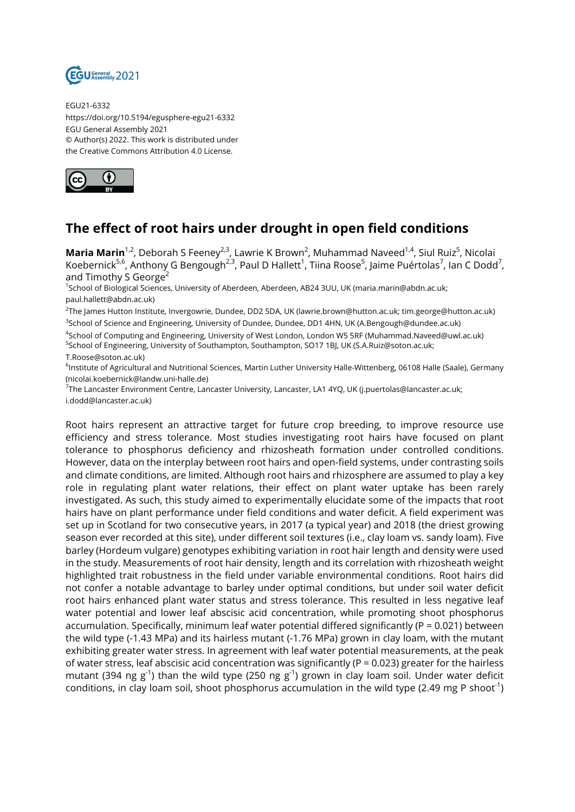

EGU21-6332 https://doi.org/10.5194/egusphere-egu21-6332 EGU General Assembly 2021 © Author(s) 2022. This work is distributed under the Creative Commons Attribution 4.0 License.



## **The effect of root hairs under drought in open field conditions**

**Maria Marin**<sup>1,2</sup>, Deborah S Feeney<sup>2,3</sup>, Lawrie K Brown<sup>2</sup>, Muhammad Naveed<sup>1,4</sup>, Siul Ruiz<sup>5</sup>, Nicolai Koebernick $^{5,6}$ , Anthony G Bengough $^{2,3}$ , Paul D Hallett $^1$ , Tiina Roose $^5$ , Jaime Puértolas $^7$ , Ian C Dodd $^7$ , and Timothy S George<sup>2</sup>

1 School of Biological Sciences, University of Aberdeen, Aberdeen, AB24 3UU, UK (maria.marin@abdn.ac.uk; paul.hallett@abdn.ac.uk)

2 The James Hutton Institute, Invergowrie, Dundee, DD2 5DA, UK (lawrie.brown@hutton.ac.uk; tim.george@hutton.ac.uk) 3 School of Science and Engineering, University of Dundee, Dundee, DD1 4HN, UK (A.Bengough@dundee.ac.uk)

4 School of Computing and Engineering, University of West London, London W5 5RF (Muhammad.Naveed@uwl.ac.uk) <sup>5</sup>School of Engineering, University of Southampton, Southampton, SO17 1BJ, UK (S.A.Ruiz@soton.ac.uk; T.Roose@soton.ac.uk)

<sup>6</sup>lnstitute of Agricultural and Nutritional Sciences, Martin Luther University Halle-Wittenberg, 06108 Halle (Saale), Germany (nicolai.koebernick@landw.uni-halle.de)

<sup>7</sup>The Lancaster Environment Centre, Lancaster University, Lancaster, LA1 4YQ, UK (j.puertolas@lancaster.ac.uk; i.dodd@lancaster.ac.uk)

Root hairs represent an attractive target for future crop breeding, to improve resource use efficiency and stress tolerance. Most studies investigating root hairs have focused on plant tolerance to phosphorus deficiency and rhizosheath formation under controlled conditions. However, data on the interplay between root hairs and open-field systems, under contrasting soils and climate conditions, are limited. Although root hairs and rhizosphere are assumed to play a key role in regulating plant water relations, their effect on plant water uptake has been rarely investigated. As such, this study aimed to experimentally elucidate some of the impacts that root hairs have on plant performance under field conditions and water deficit. A field experiment was set up in Scotland for two consecutive years, in 2017 (a typical year) and 2018 (the driest growing season ever recorded at this site), under different soil textures (i.e., clay loam vs. sandy loam). Five barley (Hordeum vulgare) genotypes exhibiting variation in root hair length and density were used in the study. Measurements of root hair density, length and its correlation with rhizosheath weight highlighted trait robustness in the field under variable environmental conditions. Root hairs did not confer a notable advantage to barley under optimal conditions, but under soil water deficit root hairs enhanced plant water status and stress tolerance. This resulted in less negative leaf water potential and lower leaf abscisic acid concentration, while promoting shoot phosphorus accumulation. Specifically, minimum leaf water potential differed significantly (P = 0.021) between the wild type (-1.43 MPa) and its hairless mutant (-1.76 MPa) grown in clay loam, with the mutant exhibiting greater water stress. In agreement with leaf water potential measurements, at the peak of water stress, leaf abscisic acid concentration was significantly ( $P = 0.023$ ) greater for the hairless mutant (394 ng g<sup>-1</sup>) than the wild type (250 ng g<sup>-1</sup>) grown in clay loam soil. Under water deficit conditions, in clay loam soil, shoot phosphorus accumulation in the wild type (2.49 mg P shoot<sup>-1</sup>)